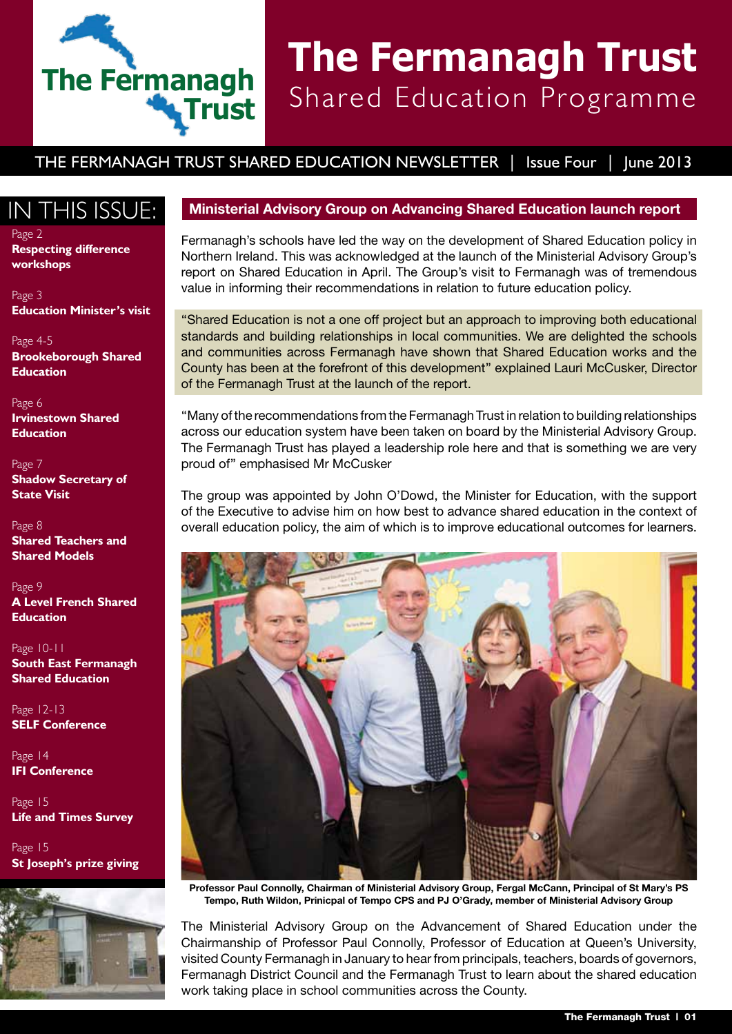# **The Fermanagh Trust**

## **The Fermanagh Trust** Shared Education Programme

THE FERMANAGH TRUST SHARED EDUCATION NEWSLETTER | Issue Four | Iune 2013

Page 2 **Respecting difference workshops**

Page 3 **Education Minister's visit**

Page 4-5 **Brookeborough Shared Education**

Page 6 **Irvinestown Shared Education**

Page 7 **Shadow Secretary of State Visit**

Page 8 **Shared Teachers and Shared Models**

Page 9 **A Level French Shared Education**

Page 10-11 **South East Fermanagh Shared Education**

Page 12-13 **SELF Conference**

Page 14 **IFI Conference**

Page 15 **Life and Times Survey**

Page 15 **St Joseph's prize giving**



#### IN THIS ISSUE: Ministerial Advisory Group on Advancing Shared Education launch report

Fermanagh's schools have led the way on the development of Shared Education policy in Northern Ireland. This was acknowledged at the launch of the Ministerial Advisory Group's report on Shared Education in April. The Group's visit to Fermanagh was of tremendous value in informing their recommendations in relation to future education policy.

''Shared Education is not a one off project but an approach to improving both educational standards and building relationships in local communities. We are delighted the schools and communities across Fermanagh have shown that Shared Education works and the County has been at the forefront of this development'' explained Lauri McCusker, Director of the Fermanagh Trust at the launch of the report.

''Many of the recommendations from the Fermanagh Trust in relation to building relationships across our education system have been taken on board by the Ministerial Advisory Group. The Fermanagh Trust has played a leadership role here and that is something we are very proud of'' emphasised Mr McCusker

The group was appointed by John O'Dowd, the Minister for Education, with the support of the Executive to advise him on how best to advance shared education in the context of overall education policy, the aim of which is to improve educational outcomes for learners.



**Professor Paul Connolly, Chairman of Ministerial Advisory Group, Fergal McCann, Principal of St Mary's PS Tempo, Ruth Wildon, Prinicpal of Tempo CPS and PJ O'Grady, member of Ministerial Advisory Group**

The Ministerial Advisory Group on the Advancement of Shared Education under the Chairmanship of Professor Paul Connolly, Professor of Education at Queen's University, visited County Fermanagh in January to hear from principals, teachers, boards of governors, Fermanagh District Council and the Fermanagh Trust to learn about the shared education work taking place in school communities across the County.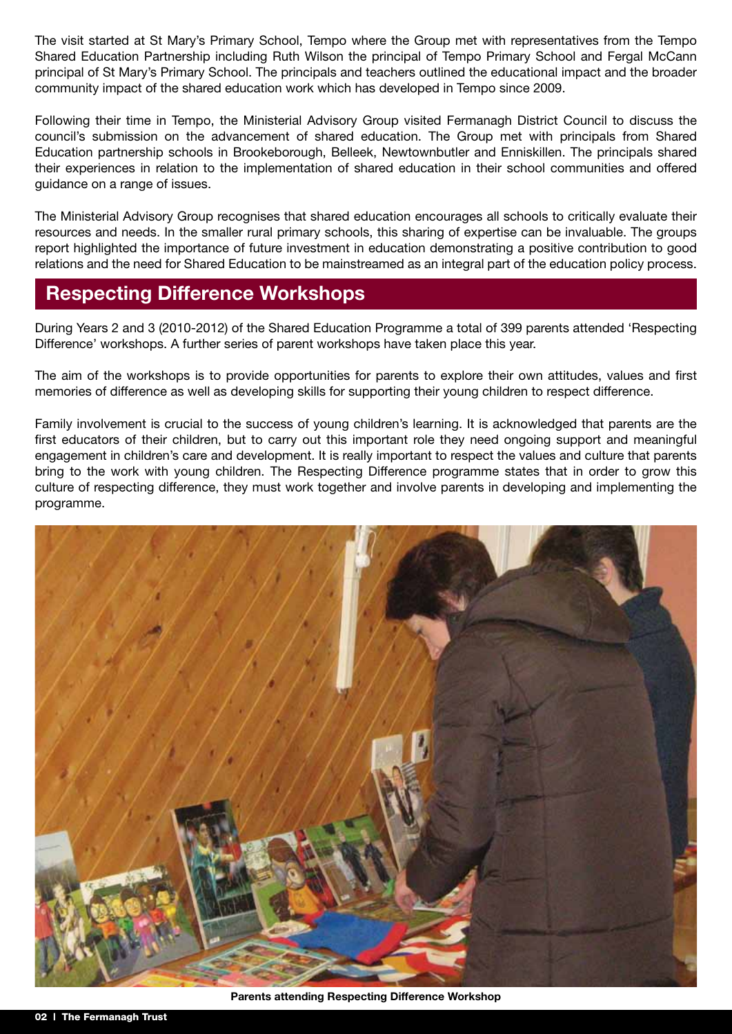The visit started at St Mary's Primary School, Tempo where the Group met with representatives from the Tempo Shared Education Partnership including Ruth Wilson the principal of Tempo Primary School and Fergal McCann principal of St Mary's Primary School. The principals and teachers outlined the educational impact and the broader community impact of the shared education work which has developed in Tempo since 2009.

Following their time in Tempo, the Ministerial Advisory Group visited Fermanagh District Council to discuss the council's submission on the advancement of shared education. The Group met with principals from Shared Education partnership schools in Brookeborough, Belleek, Newtownbutler and Enniskillen. The principals shared their experiences in relation to the implementation of shared education in their school communities and offered guidance on a range of issues.

The Ministerial Advisory Group recognises that shared education encourages all schools to critically evaluate their resources and needs. In the smaller rural primary schools, this sharing of expertise can be invaluable. The groups report highlighted the importance of future investment in education demonstrating a positive contribution to good relations and the need for Shared Education to be mainstreamed as an integral part of the education policy process.

#### **Respecting Difference Workshops**

During Years 2 and 3 (2010-2012) of the Shared Education Programme a total of 399 parents attended 'Respecting Difference' workshops. A further series of parent workshops have taken place this year.

The aim of the workshops is to provide opportunities for parents to explore their own attitudes, values and first memories of difference as well as developing skills for supporting their young children to respect difference.

Family involvement is crucial to the success of young children's learning. It is acknowledged that parents are the first educators of their children, but to carry out this important role they need ongoing support and meaningful engagement in children's care and development. It is really important to respect the values and culture that parents bring to the work with young children. The Respecting Difference programme states that in order to grow this culture of respecting difference, they must work together and involve parents in developing and implementing the programme.

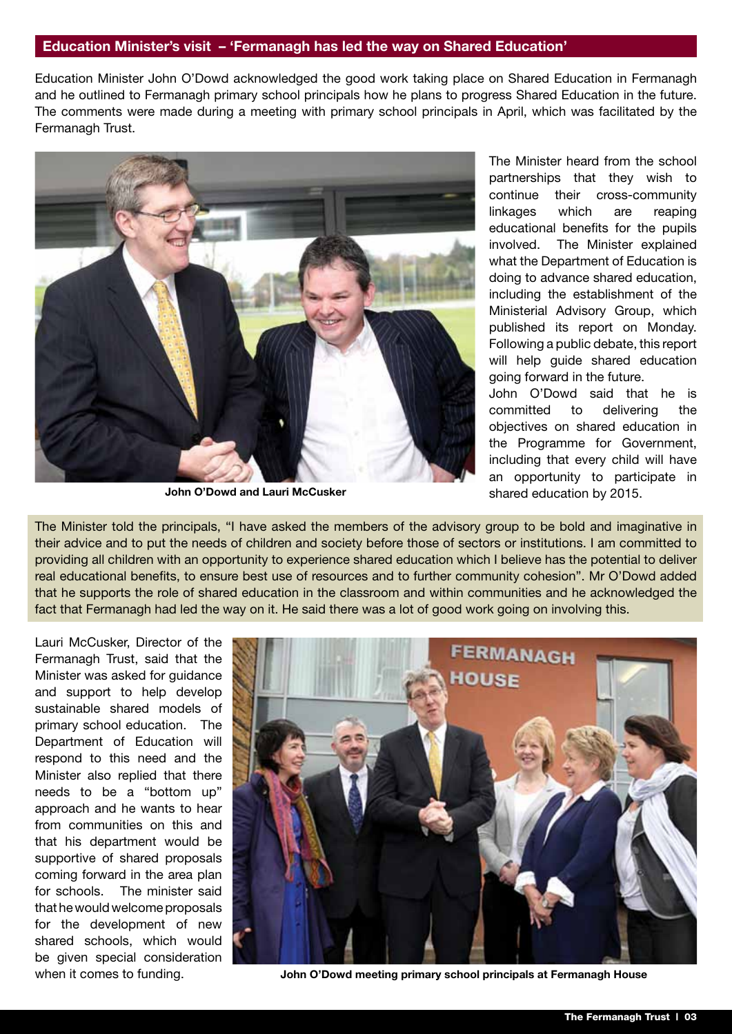#### **Education Minister's visit – 'Fermanagh has led the way on Shared Education'**

Education Minister John O'Dowd acknowledged the good work taking place on Shared Education in Fermanagh and he outlined to Fermanagh primary school principals how he plans to progress Shared Education in the future. The comments were made during a meeting with primary school principals in April, which was facilitated by the Fermanagh Trust.



**John O'Dowd and Lauri McCusker**

The Minister heard from the school partnerships that they wish to continue their cross-community linkages which are reaping educational benefits for the pupils involved. The Minister explained what the Department of Education is doing to advance shared education, including the establishment of the Ministerial Advisory Group, which published its report on Monday. Following a public debate, this report will help guide shared education going forward in the future.

John O'Dowd said that he is committed to delivering the objectives on shared education in the Programme for Government, including that every child will have an opportunity to participate in shared education by 2015.

The Minister told the principals, "I have asked the members of the advisory group to be bold and imaginative in their advice and to put the needs of children and society before those of sectors or institutions. I am committed to providing all children with an opportunity to experience shared education which I believe has the potential to deliver real educational benefits, to ensure best use of resources and to further community cohesion". Mr O'Dowd added that he supports the role of shared education in the classroom and within communities and he acknowledged the fact that Fermanagh had led the way on it. He said there was a lot of good work going on involving this.

Lauri McCusker, Director of the Fermanagh Trust, said that the Minister was asked for guidance and support to help develop sustainable shared models of primary school education. The Department of Education will respond to this need and the Minister also replied that there needs to be a "bottom up" approach and he wants to hear from communities on this and that his department would be supportive of shared proposals coming forward in the area plan for schools. The minister said that he would welcome proposals for the development of new shared schools, which would be given special consideration when it comes to funding.



**John O'Dowd meeting primary school principals at Fermanagh House**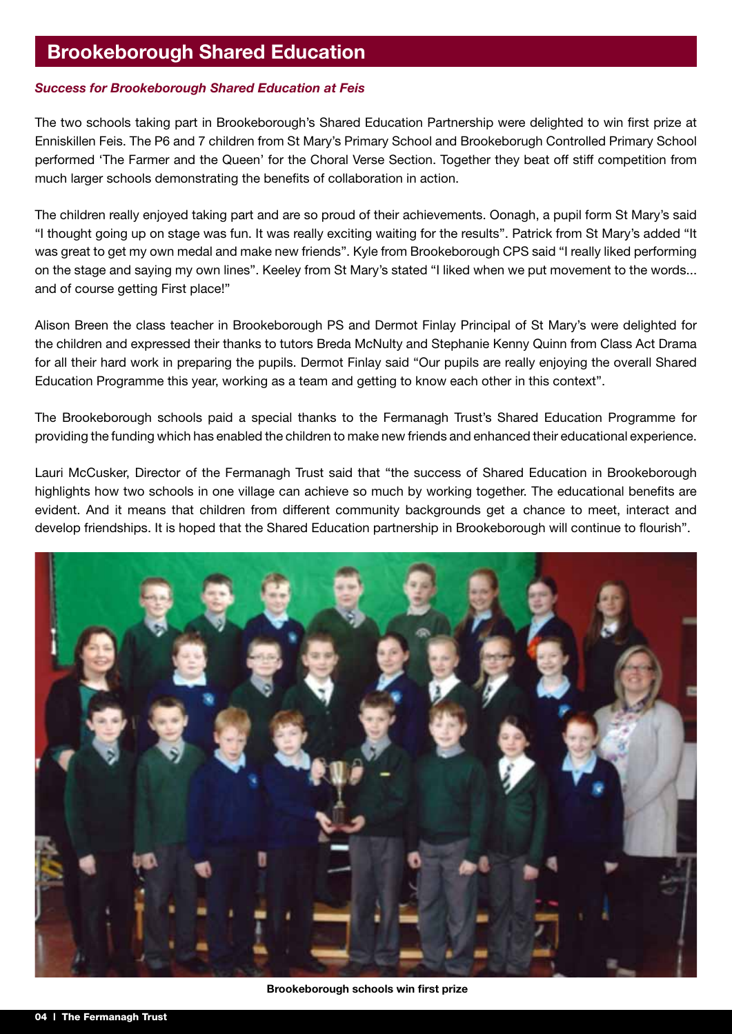#### **Brookeborough Shared Education**

#### *Success for Brookeborough Shared Education at Feis*

The two schools taking part in Brookeborough's Shared Education Partnership were delighted to win first prize at Enniskillen Feis. The P6 and 7 children from St Mary's Primary School and Brookeborugh Controlled Primary School performed 'The Farmer and the Queen' for the Choral Verse Section. Together they beat off stiff competition from much larger schools demonstrating the benefits of collaboration in action.

The children really enjoyed taking part and are so proud of their achievements. Oonagh, a pupil form St Mary's said "I thought going up on stage was fun. It was really exciting waiting for the results". Patrick from St Mary's added "It was great to get my own medal and make new friends". Kyle from Brookeborough CPS said "I really liked performing on the stage and saying my own lines". Keeley from St Mary's stated "I liked when we put movement to the words... and of course getting First place!"

Alison Breen the class teacher in Brookeborough PS and Dermot Finlay Principal of St Mary's were delighted for the children and expressed their thanks to tutors Breda McNulty and Stephanie Kenny Quinn from Class Act Drama for all their hard work in preparing the pupils. Dermot Finlay said "Our pupils are really enjoying the overall Shared Education Programme this year, working as a team and getting to know each other in this context".

The Brookeborough schools paid a special thanks to the Fermanagh Trust's Shared Education Programme for providing the funding which has enabled the children to make new friends and enhanced their educational experience.

Lauri McCusker, Director of the Fermanagh Trust said that "the success of Shared Education in Brookeborough highlights how two schools in one village can achieve so much by working together. The educational benefits are evident. And it means that children from different community backgrounds get a chance to meet, interact and develop friendships. It is hoped that the Shared Education partnership in Brookeborough will continue to flourish".



 **Brookeborough schools win first prize**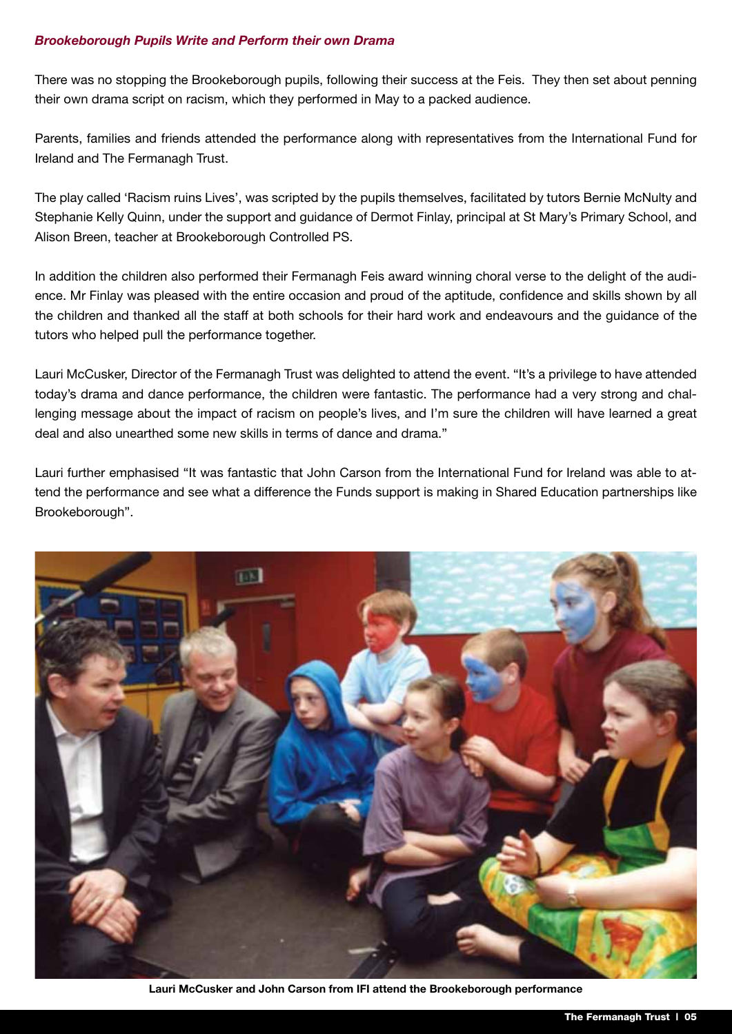#### *Brookeborough Pupils Write and Perform their own Drama*

There was no stopping the Brookeborough pupils, following their success at the Feis. They then set about penning their own drama script on racism, which they performed in May to a packed audience.

Parents, families and friends attended the performance along with representatives from the International Fund for Ireland and The Fermanagh Trust.

The play called 'Racism ruins Lives', was scripted by the pupils themselves, facilitated by tutors Bernie McNulty and Stephanie Kelly Quinn, under the support and guidance of Dermot Finlay, principal at St Mary's Primary School, and Alison Breen, teacher at Brookeborough Controlled PS.

In addition the children also performed their Fermanagh Feis award winning choral verse to the delight of the audience. Mr Finlay was pleased with the entire occasion and proud of the aptitude, confidence and skills shown by all the children and thanked all the staff at both schools for their hard work and endeavours and the guidance of the tutors who helped pull the performance together.

Lauri McCusker, Director of the Fermanagh Trust was delighted to attend the event. "It's a privilege to have attended today's drama and dance performance, the children were fantastic. The performance had a very strong and challenging message about the impact of racism on people's lives, and I'm sure the children will have learned a great deal and also unearthed some new skills in terms of dance and drama."

Lauri further emphasised "It was fantastic that John Carson from the International Fund for Ireland was able to attend the performance and see what a difference the Funds support is making in Shared Education partnerships like Brookeborough".



**Lauri McCusker and John Carson from IFI attend the Brookeborough performance**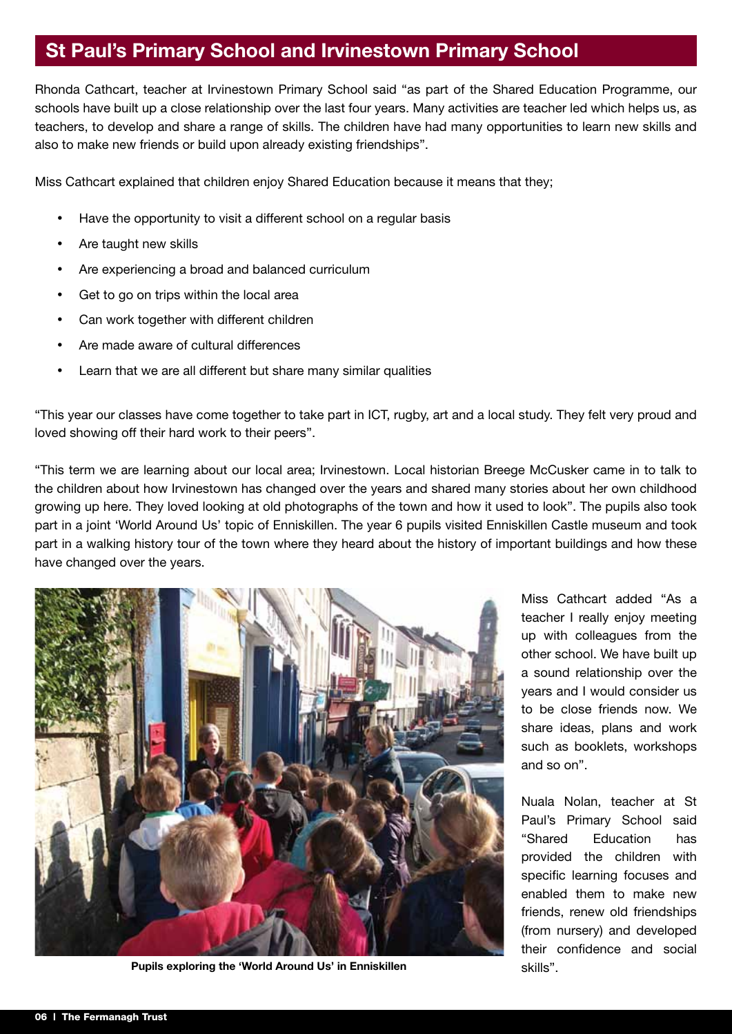#### **St Paul's Primary School and Irvinestown Primary School**

Rhonda Cathcart, teacher at Irvinestown Primary School said "as part of the Shared Education Programme, our schools have built up a close relationship over the last four years. Many activities are teacher led which helps us, as teachers, to develop and share a range of skills. The children have had many opportunities to learn new skills and also to make new friends or build upon already existing friendships".

Miss Cathcart explained that children enjoy Shared Education because it means that they;

- Have the opportunity to visit a different school on a regular basis
- Are taught new skills
- Are experiencing a broad and balanced curriculum
- Get to go on trips within the local area
- Can work together with different children
- Are made aware of cultural differences
- Learn that we are all different but share many similar qualities

"This year our classes have come together to take part in ICT, rugby, art and a local study. They felt very proud and loved showing off their hard work to their peers".

"This term we are learning about our local area; Irvinestown. Local historian Breege McCusker came in to talk to the children about how Irvinestown has changed over the years and shared many stories about her own childhood growing up here. They loved looking at old photographs of the town and how it used to look". The pupils also took part in a joint 'World Around Us' topic of Enniskillen. The year 6 pupils visited Enniskillen Castle museum and took part in a walking history tour of the town where they heard about the history of important buildings and how these have changed over the years.



**Pupils exploring the 'World Around Us' in Enniskillen** skills".

Miss Cathcart added "As a teacher I really enjoy meeting up with colleagues from the other school. We have built up a sound relationship over the years and I would consider us to be close friends now. We share ideas, plans and work such as booklets, workshops and so on".

Nuala Nolan, teacher at St Paul's Primary School said "Shared Education has provided the children with specific learning focuses and enabled them to make new friends, renew old friendships (from nursery) and developed their confidence and social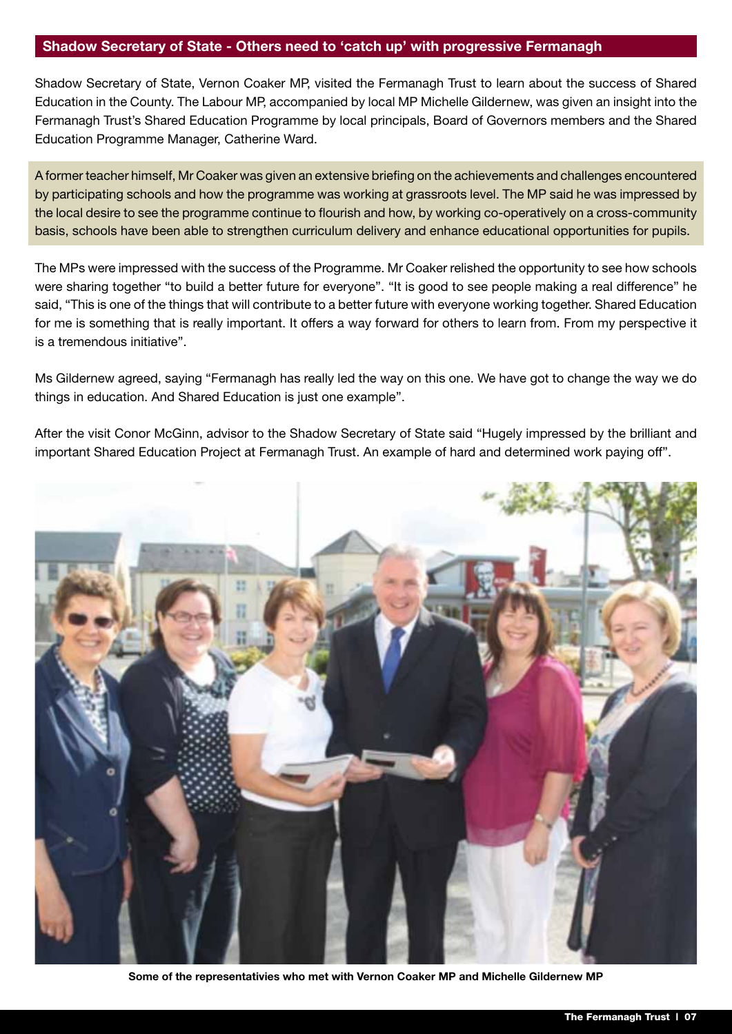#### **Shadow Secretary of State - Others need to 'catch up' with progressive Fermanagh**

Shadow Secretary of State, Vernon Coaker MP, visited the Fermanagh Trust to learn about the success of Shared Education in the County. The Labour MP, accompanied by local MP Michelle Gildernew, was given an insight into the Fermanagh Trust's Shared Education Programme by local principals, Board of Governors members and the Shared Education Programme Manager, Catherine Ward.

A former teacher himself, Mr Coaker was given an extensive briefing on the achievements and challenges encountered by participating schools and how the programme was working at grassroots level. The MP said he was impressed by the local desire to see the programme continue to flourish and how, by working co-operatively on a cross-community basis, schools have been able to strengthen curriculum delivery and enhance educational opportunities for pupils.

The MPs were impressed with the success of the Programme. Mr Coaker relished the opportunity to see how schools were sharing together "to build a better future for everyone". "It is good to see people making a real difference" he said, "This is one of the things that will contribute to a better future with everyone working together. Shared Education for me is something that is really important. It offers a way forward for others to learn from. From my perspective it is a tremendous initiative".

Ms Gildernew agreed, saying "Fermanagh has really led the way on this one. We have got to change the way we do things in education. And Shared Education is just one example".

After the visit Conor McGinn, advisor to the Shadow Secretary of State said "Hugely impressed by the brilliant and important Shared Education Project at Fermanagh Trust. An example of hard and determined work paying off".



**Some of the representativies who met with Vernon Coaker MP and Michelle Gildernew MP**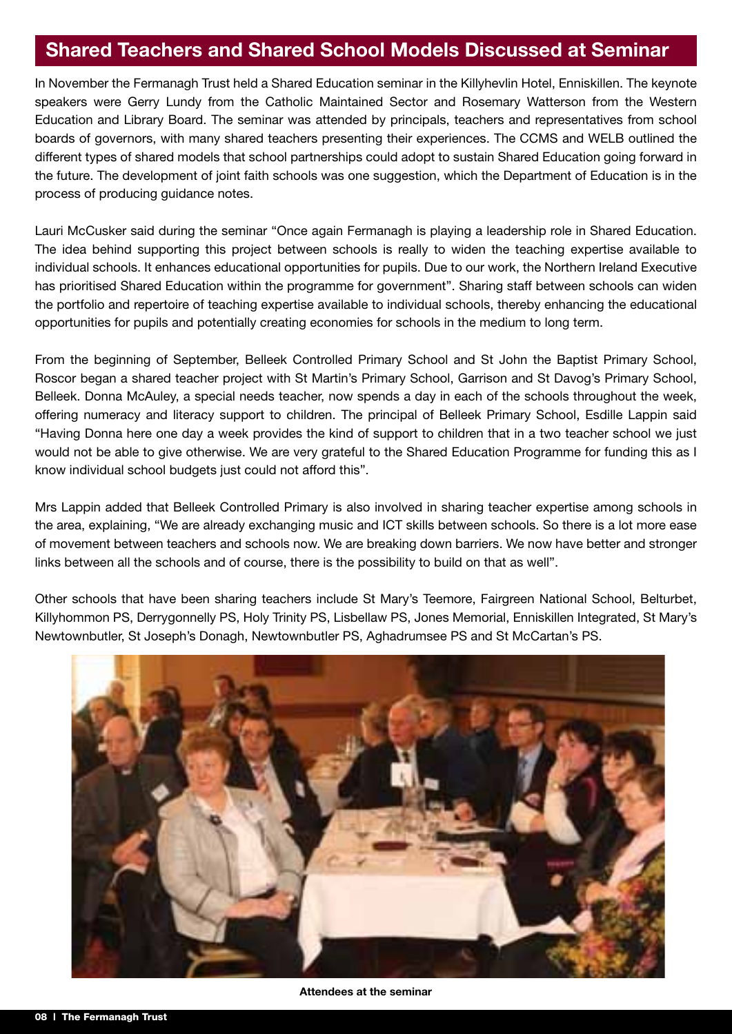#### **Shared Teachers and Shared School Models Discussed at Seminar**

In November the Fermanagh Trust held a Shared Education seminar in the Killyhevlin Hotel, Enniskillen. The keynote speakers were Gerry Lundy from the Catholic Maintained Sector and Rosemary Watterson from the Western Education and Library Board. The seminar was attended by principals, teachers and representatives from school boards of governors, with many shared teachers presenting their experiences. The CCMS and WELB outlined the different types of shared models that school partnerships could adopt to sustain Shared Education going forward in the future. The development of joint faith schools was one suggestion, which the Department of Education is in the process of producing guidance notes.

Lauri McCusker said during the seminar "Once again Fermanagh is playing a leadership role in Shared Education. The idea behind supporting this project between schools is really to widen the teaching expertise available to individual schools. It enhances educational opportunities for pupils. Due to our work, the Northern Ireland Executive has prioritised Shared Education within the programme for government". Sharing staff between schools can widen the portfolio and repertoire of teaching expertise available to individual schools, thereby enhancing the educational opportunities for pupils and potentially creating economies for schools in the medium to long term.

From the beginning of September, Belleek Controlled Primary School and St John the Baptist Primary School, Roscor began a shared teacher project with St Martin's Primary School, Garrison and St Davog's Primary School, Belleek. Donna McAuley, a special needs teacher, now spends a day in each of the schools throughout the week, offering numeracy and literacy support to children. The principal of Belleek Primary School, Esdille Lappin said "Having Donna here one day a week provides the kind of support to children that in a two teacher school we just would not be able to give otherwise. We are very grateful to the Shared Education Programme for funding this as I know individual school budgets just could not afford this".

Mrs Lappin added that Belleek Controlled Primary is also involved in sharing teacher expertise among schools in the area, explaining, "We are already exchanging music and ICT skills between schools. So there is a lot more ease of movement between teachers and schools now. We are breaking down barriers. We now have better and stronger links between all the schools and of course, there is the possibility to build on that as well".

Other schools that have been sharing teachers include St Mary's Teemore, Fairgreen National School, Belturbet, Killyhommon PS, Derrygonnelly PS, Holy Trinity PS, Lisbellaw PS, Jones Memorial, Enniskillen Integrated, St Mary's Newtownbutler, St Joseph's Donagh, Newtownbutler PS, Aghadrumsee PS and St McCartan's PS.



**Attendees at the seminar**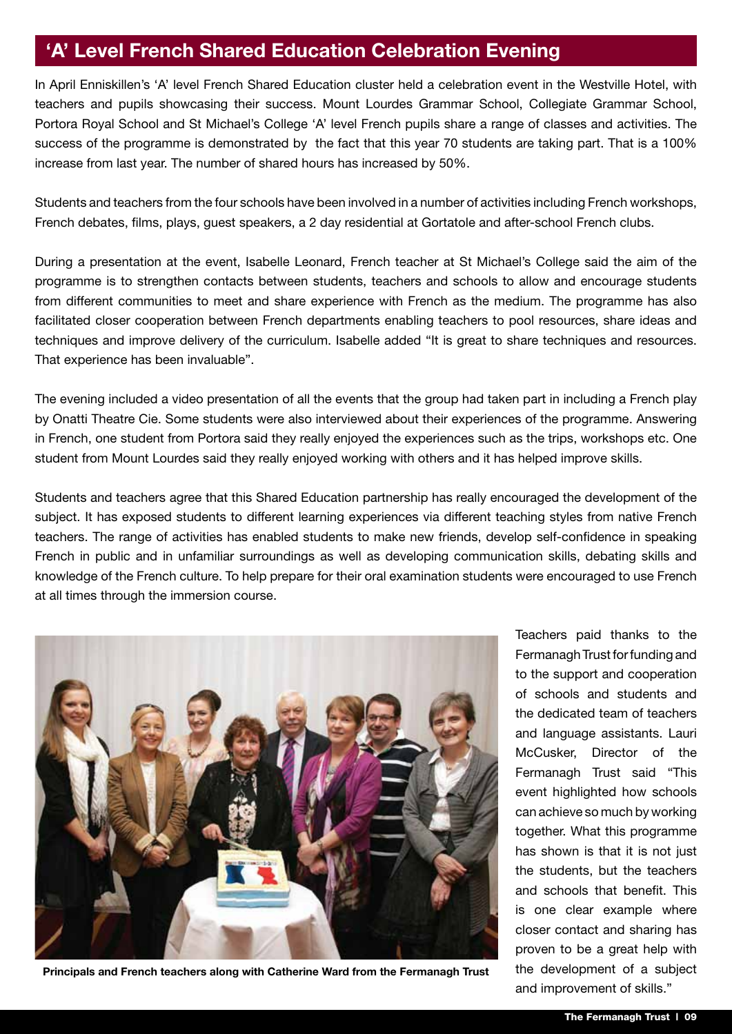#### **'A' Level French Shared Education Celebration Evening**

In April Enniskillen's 'A' level French Shared Education cluster held a celebration event in the Westville Hotel, with teachers and pupils showcasing their success. Mount Lourdes Grammar School, Collegiate Grammar School, Portora Royal School and St Michael's College 'A' level French pupils share a range of classes and activities. The success of the programme is demonstrated by the fact that this year 70 students are taking part. That is a 100% increase from last year. The number of shared hours has increased by 50%.

Students and teachers from the four schools have been involved in a number of activities including French workshops, French debates, films, plays, guest speakers, a 2 day residential at Gortatole and after-school French clubs.

During a presentation at the event, Isabelle Leonard, French teacher at St Michael's College said the aim of the programme is to strengthen contacts between students, teachers and schools to allow and encourage students from different communities to meet and share experience with French as the medium. The programme has also facilitated closer cooperation between French departments enabling teachers to pool resources, share ideas and techniques and improve delivery of the curriculum. Isabelle added "It is great to share techniques and resources. That experience has been invaluable".

The evening included a video presentation of all the events that the group had taken part in including a French play by Onatti Theatre Cie. Some students were also interviewed about their experiences of the programme. Answering in French, one student from Portora said they really enjoyed the experiences such as the trips, workshops etc. One student from Mount Lourdes said they really enjoyed working with others and it has helped improve skills.

Students and teachers agree that this Shared Education partnership has really encouraged the development of the subject. It has exposed students to different learning experiences via different teaching styles from native French teachers. The range of activities has enabled students to make new friends, develop self-confidence in speaking French in public and in unfamiliar surroundings as well as developing communication skills, debating skills and knowledge of the French culture. To help prepare for their oral examination students were encouraged to use French at all times through the immersion course.



**Principals and French teachers along with Catherine Ward from the Fermanagh Trust**

Teachers paid thanks to the Fermanagh Trust for funding and to the support and cooperation of schools and students and the dedicated team of teachers and language assistants. Lauri McCusker, Director of the Fermanagh Trust said "This event highlighted how schools can achieve so much by working together. What this programme has shown is that it is not just the students, but the teachers and schools that benefit. This is one clear example where closer contact and sharing has proven to be a great help with the development of a subject and improvement of skills."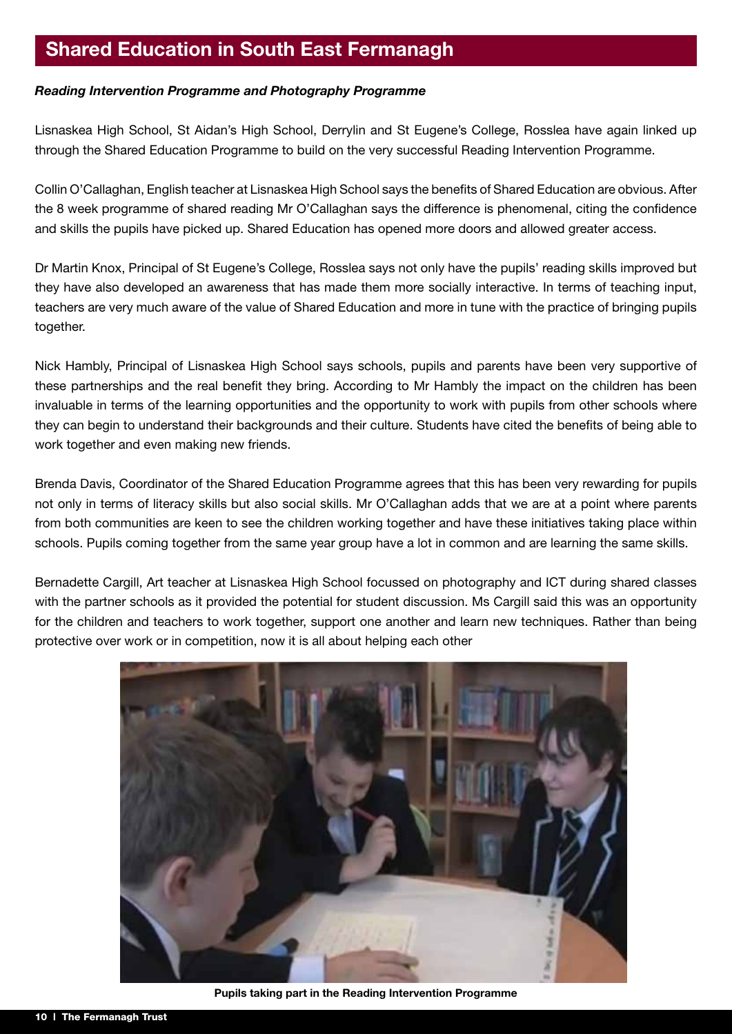#### **Shared Education in South East Fermanagh**

#### *Reading Intervention Programme and Photography Programme*

Lisnaskea High School, St Aidan's High School, Derrylin and St Eugene's College, Rosslea have again linked up through the Shared Education Programme to build on the very successful Reading Intervention Programme.

Collin O'Callaghan, English teacher at Lisnaskea High School says the benefits of Shared Education are obvious. After the 8 week programme of shared reading Mr O'Callaghan says the difference is phenomenal, citing the confidence and skills the pupils have picked up. Shared Education has opened more doors and allowed greater access.

Dr Martin Knox, Principal of St Eugene's College, Rosslea says not only have the pupils' reading skills improved but they have also developed an awareness that has made them more socially interactive. In terms of teaching input, teachers are very much aware of the value of Shared Education and more in tune with the practice of bringing pupils together.

Nick Hambly, Principal of Lisnaskea High School says schools, pupils and parents have been very supportive of these partnerships and the real benefit they bring. According to Mr Hambly the impact on the children has been invaluable in terms of the learning opportunities and the opportunity to work with pupils from other schools where they can begin to understand their backgrounds and their culture. Students have cited the benefits of being able to work together and even making new friends.

Brenda Davis, Coordinator of the Shared Education Programme agrees that this has been very rewarding for pupils not only in terms of literacy skills but also social skills. Mr O'Callaghan adds that we are at a point where parents from both communities are keen to see the children working together and have these initiatives taking place within schools. Pupils coming together from the same year group have a lot in common and are learning the same skills.

Bernadette Cargill, Art teacher at Lisnaskea High School focussed on photography and ICT during shared classes with the partner schools as it provided the potential for student discussion. Ms Cargill said this was an opportunity for the children and teachers to work together, support one another and learn new techniques. Rather than being protective over work or in competition, now it is all about helping each other



**Pupils taking part in the Reading Intervention Programme**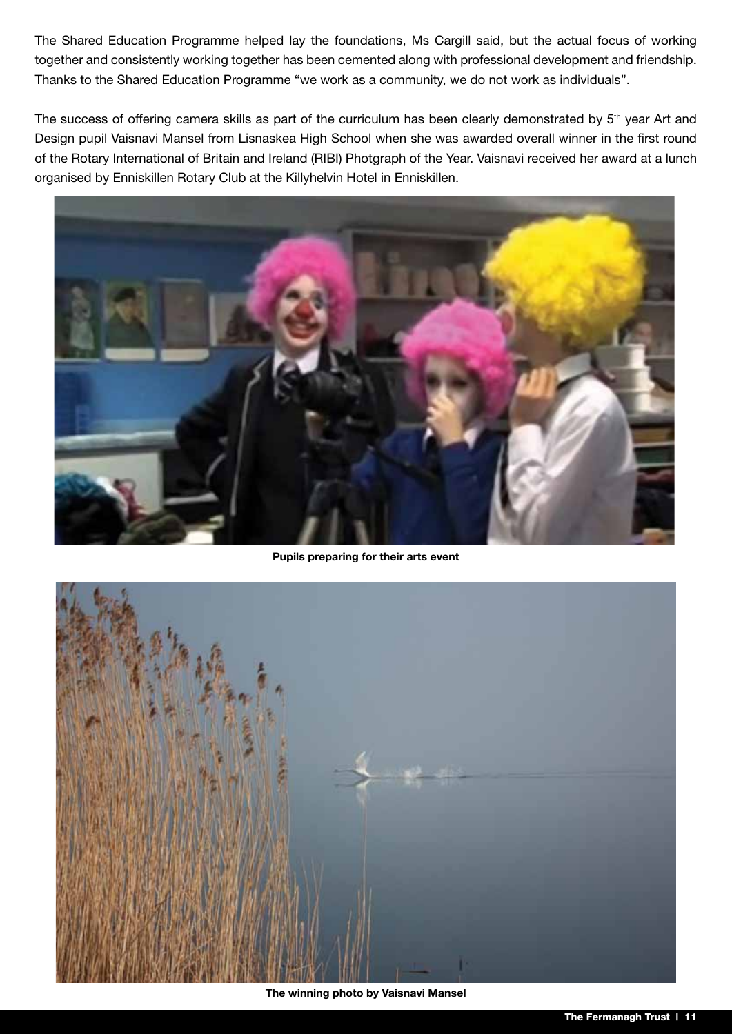The Shared Education Programme helped lay the foundations, Ms Cargill said, but the actual focus of working together and consistently working together has been cemented along with professional development and friendship. Thanks to the Shared Education Programme "we work as a community, we do not work as individuals".

The success of offering camera skills as part of the curriculum has been clearly demonstrated by 5<sup>th</sup> year Art and Design pupil Vaisnavi Mansel from Lisnaskea High School when she was awarded overall winner in the first round of the Rotary International of Britain and Ireland (RIBI) Photgraph of the Year. Vaisnavi received her award at a lunch organised by Enniskillen Rotary Club at the Killyhelvin Hotel in Enniskillen.



**Pupils preparing for their arts event**



**The winning photo by Vaisnavi Mansel**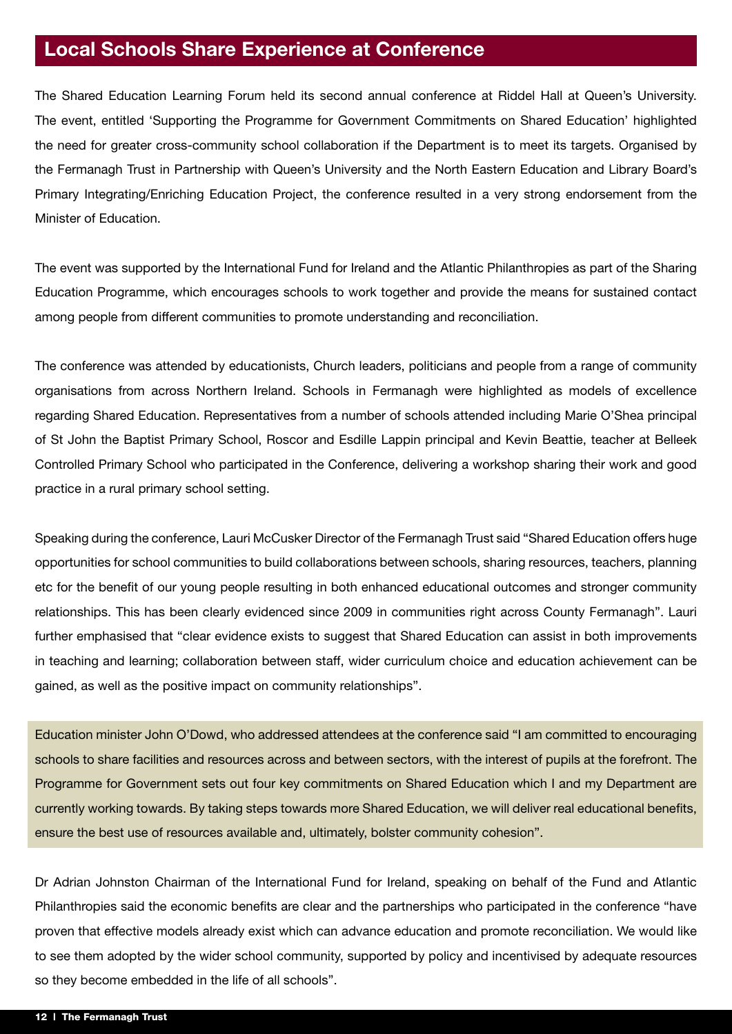### **Local Schools Share Experience at Conference**

The Shared Education Learning Forum held its second annual conference at Riddel Hall at Queen's University. The event, entitled 'Supporting the Programme for Government Commitments on Shared Education' highlighted the need for greater cross-community school collaboration if the Department is to meet its targets. Organised by the Fermanagh Trust in Partnership with Queen's University and the North Eastern Education and Library Board's Primary Integrating/Enriching Education Project, the conference resulted in a very strong endorsement from the Minister of Education.

The event was supported by the International Fund for Ireland and the Atlantic Philanthropies as part of the Sharing Education Programme, which encourages schools to work together and provide the means for sustained contact among people from different communities to promote understanding and reconciliation.

The conference was attended by educationists, Church leaders, politicians and people from a range of community organisations from across Northern Ireland. Schools in Fermanagh were highlighted as models of excellence regarding Shared Education. Representatives from a number of schools attended including Marie O'Shea principal of St John the Baptist Primary School, Roscor and Esdille Lappin principal and Kevin Beattie, teacher at Belleek Controlled Primary School who participated in the Conference, delivering a workshop sharing their work and good practice in a rural primary school setting.

Speaking during the conference, Lauri McCusker Director of the Fermanagh Trust said "Shared Education offers huge opportunities for school communities to build collaborations between schools, sharing resources, teachers, planning etc for the benefit of our young people resulting in both enhanced educational outcomes and stronger community relationships. This has been clearly evidenced since 2009 in communities right across County Fermanagh". Lauri further emphasised that "clear evidence exists to suggest that Shared Education can assist in both improvements in teaching and learning; collaboration between staff, wider curriculum choice and education achievement can be gained, as well as the positive impact on community relationships".

Education minister John O'Dowd, who addressed attendees at the conference said "I am committed to encouraging schools to share facilities and resources across and between sectors, with the interest of pupils at the forefront. The Programme for Government sets out four key commitments on Shared Education which I and my Department are currently working towards. By taking steps towards more Shared Education, we will deliver real educational benefits, ensure the best use of resources available and, ultimately, bolster community cohesion".

Dr Adrian Johnston Chairman of the International Fund for Ireland, speaking on behalf of the Fund and Atlantic Philanthropies said the economic benefits are clear and the partnerships who participated in the conference "have proven that effective models already exist which can advance education and promote reconciliation. We would like to see them adopted by the wider school community, supported by policy and incentivised by adequate resources so they become embedded in the life of all schools".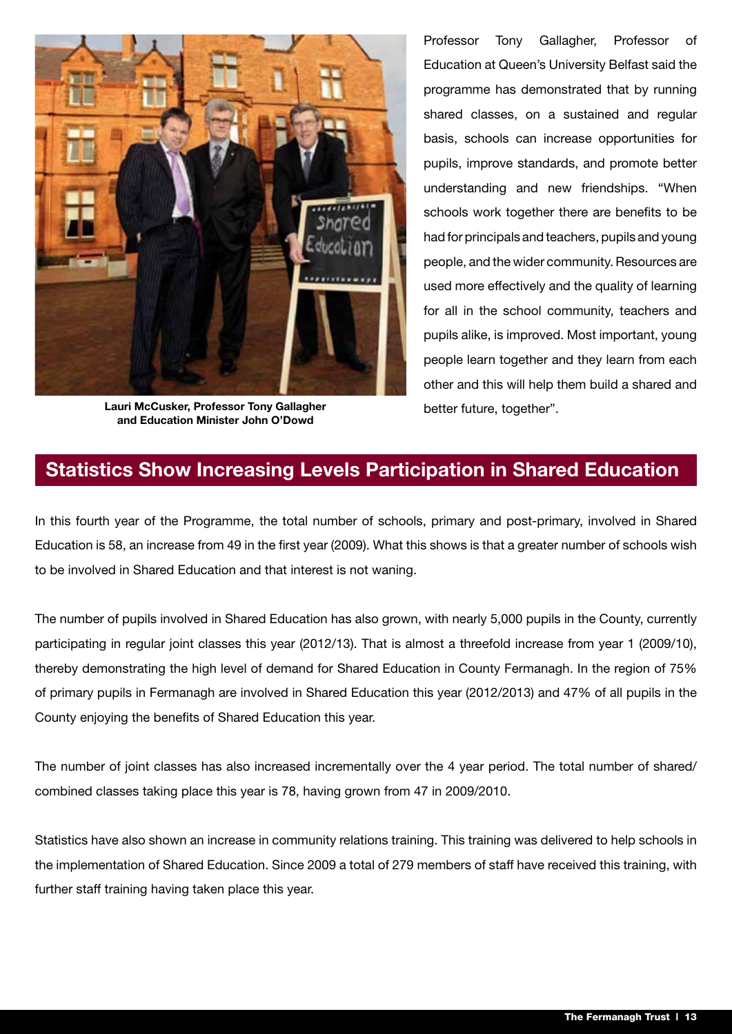

**Lauri McCusker, Professor Tony Gallagher** better future, together". **and Education Minister John O'Dowd**

Professor Tony Gallagher, Professor of Education at Queen's University Belfast said the programme has demonstrated that by running shared classes, on a sustained and regular basis, schools can increase opportunities for pupils, improve standards, and promote better understanding and new friendships. "When schools work together there are benefits to be had for principals and teachers, pupils and young people, and the wider community. Resources are used more effectively and the quality of learning for all in the school community, teachers and pupils alike, is improved. Most important, young people learn together and they learn from each other and this will help them build a shared and

#### **Statistics Show Increasing Levels Participation in Shared Education**

In this fourth year of the Programme, the total number of schools, primary and post-primary, involved in Shared Education is 58, an increase from 49 in the first year (2009). What this shows is that a greater number of schools wish to be involved in Shared Education and that interest is not waning.

The number of pupils involved in Shared Education has also grown, with nearly 5,000 pupils in the County, currently participating in regular joint classes this year (2012/13). That is almost a threefold increase from year 1 (2009/10), thereby demonstrating the high level of demand for Shared Education in County Fermanagh. In the region of 75% of primary pupils in Fermanagh are involved in Shared Education this year (2012/2013) and 47% of all pupils in the County enjoying the benefits of Shared Education this year.

The number of joint classes has also increased incrementally over the 4 year period. The total number of shared/ combined classes taking place this year is 78, having grown from 47 in 2009/2010.

Statistics have also shown an increase in community relations training. This training was delivered to help schools in the implementation of Shared Education. Since 2009 a total of 279 members of staff have received this training, with further staff training having taken place this year.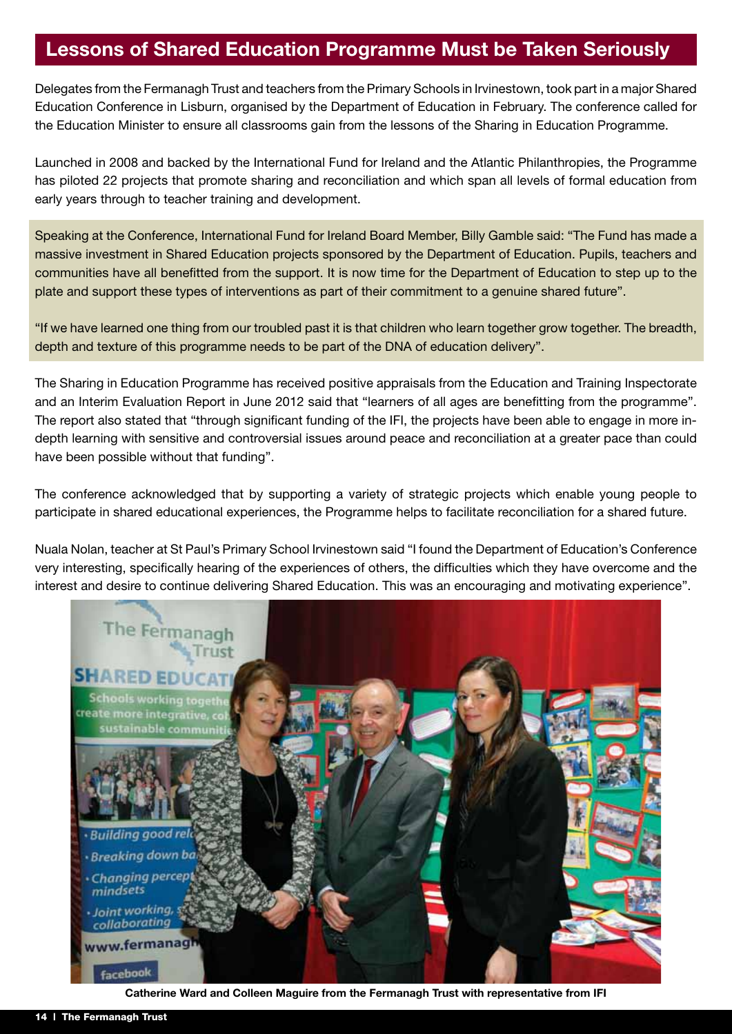#### **Lessons of Shared Education Programme Must be Taken Seriously**

Delegates from the Fermanagh Trust and teachers from the Primary Schools in Irvinestown, took part in a major Shared Education Conference in Lisburn, organised by the Department of Education in February. The conference called for the Education Minister to ensure all classrooms gain from the lessons of the Sharing in Education Programme.

Launched in 2008 and backed by the International Fund for Ireland and the Atlantic Philanthropies, the Programme has piloted 22 projects that promote sharing and reconciliation and which span all levels of formal education from early years through to teacher training and development.

Speaking at the Conference, International Fund for Ireland Board Member, Billy Gamble said: "The Fund has made a massive investment in Shared Education projects sponsored by the Department of Education. Pupils, teachers and communities have all benefitted from the support. It is now time for the Department of Education to step up to the plate and support these types of interventions as part of their commitment to a genuine shared future".

"If we have learned one thing from our troubled past it is that children who learn together grow together. The breadth, depth and texture of this programme needs to be part of the DNA of education delivery".

The Sharing in Education Programme has received positive appraisals from the Education and Training Inspectorate and an Interim Evaluation Report in June 2012 said that "learners of all ages are benefitting from the programme". The report also stated that "through significant funding of the IFI, the projects have been able to engage in more indepth learning with sensitive and controversial issues around peace and reconciliation at a greater pace than could have been possible without that funding".

The conference acknowledged that by supporting a variety of strategic projects which enable young people to participate in shared educational experiences, the Programme helps to facilitate reconciliation for a shared future.

Nuala Nolan, teacher at St Paul's Primary School Irvinestown said "I found the Department of Education's Conference very interesting, specifically hearing of the experiences of others, the difficulties which they have overcome and the interest and desire to continue delivering Shared Education. This was an encouraging and motivating experience".



**Catherine Ward and Colleen Maguire from the Fermanagh Trust with representative from IFI**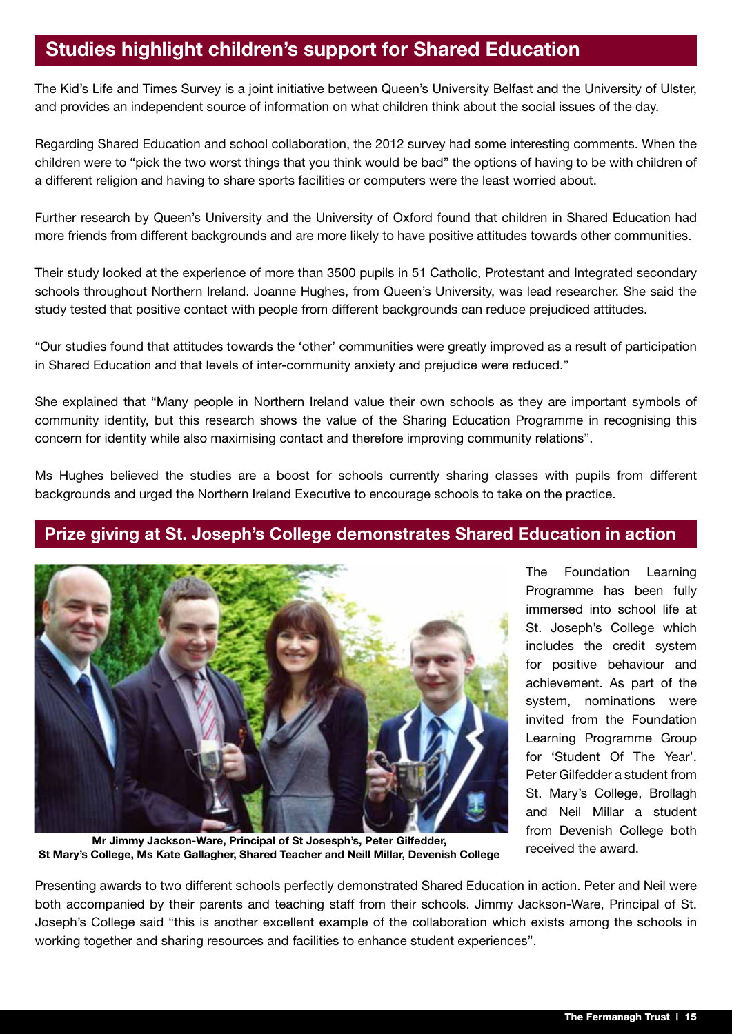### **Studies highlight children's support for Shared Education**

The Kid's Life and Times Survey is a joint initiative between Queen's University Belfast and the University of Ulster, and provides an independent source of information on what children think about the social issues of the day.

Regarding Shared Education and school collaboration, the 2012 survey had some interesting comments. When the children were to "pick the two worst things that you think would be bad" the options of having to be with children of a different religion and having to share sports facilities or computers were the least worried about.

Further research by Queen's University and the University of Oxford found that children in Shared Education had more friends from different backgrounds and are more likely to have positive attitudes towards other communities.

Their study looked at the experience of more than 3500 pupils in 51 Catholic, Protestant and Integrated secondary schools throughout Northern Ireland. Joanne Hughes, from Queen's University, was lead researcher. She said the study tested that positive contact with people from different backgrounds can reduce prejudiced attitudes.

"Our studies found that attitudes towards the 'other' communities were greatly improved as a result of participation in Shared Education and that levels of inter-community anxiety and prejudice were reduced."

She explained that "Many people in Northern Ireland value their own schools as they are important symbols of community identity, but this research shows the value of the Sharing Education Programme in recognising this concern for identity while also maximising contact and therefore improving community relations".

Ms Hughes believed the studies are a boost for schools currently sharing classes with pupils from different backgrounds and urged the Northern Ireland Executive to encourage schools to take on the practice.

#### **Prize giving at St. Joseph's College demonstrates Shared Education in action**



The Foundation Learning Programme has been fully immersed into school life at St. Joseph's College which includes the credit system for positive behaviour and achievement. As part of the system, nominations were invited from the Foundation Learning Programme Group for 'Student Of The Year'. Peter Gilfedder a student from St. Mary's College, Brollagh and Neil Millar a student from Devenish College both received the award.

**Mr Jimmy Jackson-Ware, Principal of St Josesph's, Peter Gilfedder, St Mary's College, Ms Kate Gallagher, Shared Teacher and Neill Millar, Devenish College**

Presenting awards to two different schools perfectly demonstrated Shared Education in action. Peter and Neil were both accompanied by their parents and teaching staff from their schools. Jimmy Jackson-Ware, Principal of St. Joseph's College said "this is another excellent example of the collaboration which exists among the schools in working together and sharing resources and facilities to enhance student experiences".